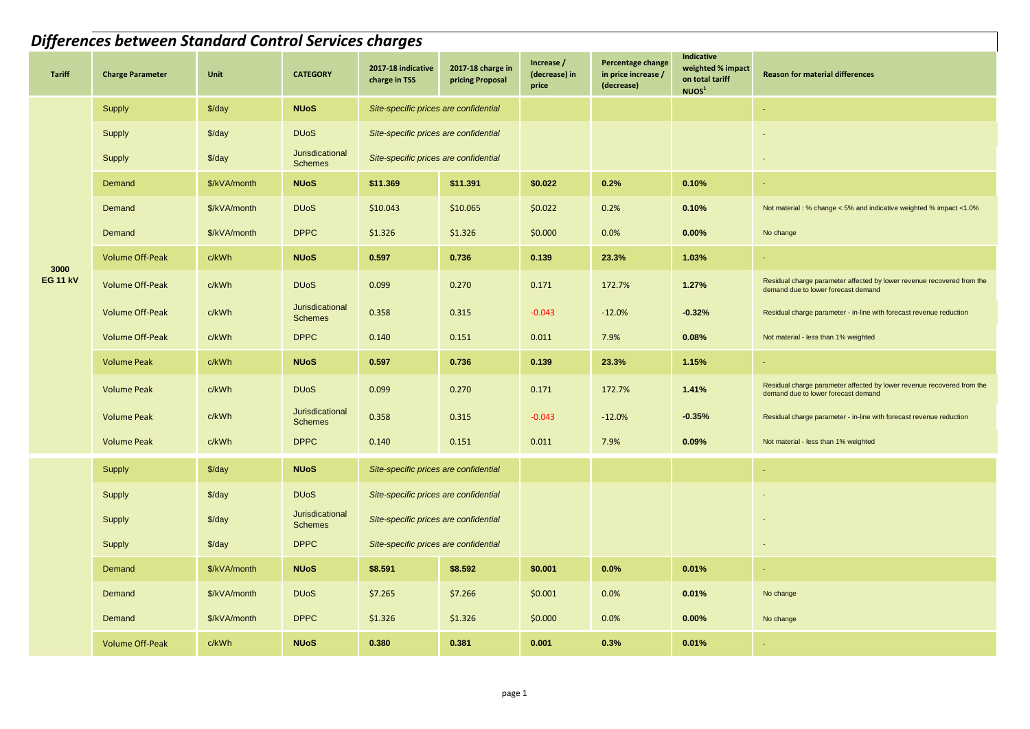|                         | Differences between Standard Control Services charges |                    |                                   |                                       |                                       |                                      |                                                        |                                                                         |                                                                                                               |  |  |  |  |
|-------------------------|-------------------------------------------------------|--------------------|-----------------------------------|---------------------------------------|---------------------------------------|--------------------------------------|--------------------------------------------------------|-------------------------------------------------------------------------|---------------------------------------------------------------------------------------------------------------|--|--|--|--|
| <b>Tariff</b>           | <b>Charge Parameter</b>                               | Unit               | <b>CATEGORY</b>                   | 2017-18 indicative<br>charge in TSS   | 2017-18 charge in<br>pricing Proposal | Increase /<br>(decrease) in<br>price | Percentage change<br>in price increase /<br>(decrease) | Indicative<br>weighted % impact<br>on total tariff<br>NUOS <sup>1</sup> | <b>Reason for material differences</b>                                                                        |  |  |  |  |
|                         | Supply                                                | $\frac{2}{3}$ /day | <b>NUoS</b>                       | Site-specific prices are confidential |                                       |                                      |                                                        |                                                                         | $\sim$                                                                                                        |  |  |  |  |
|                         | Supply                                                | $\frac{3}{day}$    | <b>DU<sub>o</sub>S</b>            | Site-specific prices are confidential |                                       |                                      |                                                        |                                                                         |                                                                                                               |  |  |  |  |
|                         | Supply                                                | $\frac{3}{day}$    | Jurisdicational<br><b>Schemes</b> | Site-specific prices are confidential |                                       |                                      |                                                        |                                                                         | $\sim$                                                                                                        |  |  |  |  |
|                         | Demand                                                | \$/kVA/month       | <b>NUoS</b>                       | \$11.369                              | \$11.391                              | \$0.022                              | 0.2%                                                   | 0.10%                                                                   | $\sim$                                                                                                        |  |  |  |  |
|                         | Demand                                                | \$/kVA/month       | <b>DU<sub>o</sub>S</b>            | \$10.043                              | \$10.065                              | \$0.022                              | 0.2%                                                   | 0.10%                                                                   | Not material : % change < 5% and indicative weighted % impact <1.0%                                           |  |  |  |  |
|                         | Demand                                                | \$/kVA/month       | <b>DPPC</b>                       | \$1.326                               | \$1.326                               | \$0.000                              | 0.0%                                                   | 0.00%                                                                   | No change                                                                                                     |  |  |  |  |
| 3000<br><b>EG 11 kV</b> | <b>Volume Off-Peak</b>                                | c/kWh              | <b>NUoS</b>                       | 0.597                                 | 0.736                                 | 0.139                                | 23.3%                                                  | 1.03%                                                                   |                                                                                                               |  |  |  |  |
|                         | <b>Volume Off-Peak</b>                                | c/kWh              | <b>DU<sub>o</sub>S</b>            | 0.099                                 | 0.270                                 | 0.171                                | 172.7%                                                 | 1.27%                                                                   | Residual charge parameter affected by lower revenue recovered from the<br>demand due to lower forecast demand |  |  |  |  |
|                         | <b>Volume Off-Peak</b>                                | c/kWh              | Jurisdicational<br><b>Schemes</b> | 0.358                                 | 0.315                                 | $-0.043$                             | $-12.0%$                                               | $-0.32%$                                                                | Residual charge parameter - in-line with forecast revenue reduction                                           |  |  |  |  |
|                         | <b>Volume Off-Peak</b>                                | c/kWh              | <b>DPPC</b>                       | 0.140                                 | 0.151                                 | 0.011                                | 7.9%                                                   | 0.08%                                                                   | Not material - less than 1% weighted                                                                          |  |  |  |  |
|                         | <b>Volume Peak</b>                                    | c/kWh              | <b>NUoS</b>                       | 0.597                                 | 0.736                                 | 0.139                                | 23.3%                                                  | 1.15%                                                                   | $\sim$                                                                                                        |  |  |  |  |
|                         | <b>Volume Peak</b>                                    | c/kWh              | <b>DU<sub>o</sub>S</b>            | 0.099                                 | 0.270                                 | 0.171                                | 172.7%                                                 | 1.41%                                                                   | Residual charge parameter affected by lower revenue recovered from the<br>demand due to lower forecast demand |  |  |  |  |
|                         | <b>Volume Peak</b>                                    | c/kWh              | Jurisdicational<br><b>Schemes</b> | 0.358                                 | 0.315                                 | $-0.043$                             | $-12.0%$                                               | $-0.35%$                                                                | Residual charge parameter - in-line with forecast revenue reduction                                           |  |  |  |  |
|                         | <b>Volume Peak</b>                                    | c/kWh              | <b>DPPC</b>                       | 0.140                                 | 0.151                                 | 0.011                                | 7.9%                                                   | 0.09%                                                                   | Not material - less than 1% weighted                                                                          |  |  |  |  |
|                         | Supply                                                | $\frac{2}{3}$ /day | <b>NUoS</b>                       | Site-specific prices are confidential |                                       |                                      |                                                        |                                                                         |                                                                                                               |  |  |  |  |
|                         | Supply                                                | $\frac{3}{day}$    | <b>DU<sub>o</sub>S</b>            | Site-specific prices are confidential |                                       |                                      |                                                        |                                                                         |                                                                                                               |  |  |  |  |
|                         | Supply                                                | $\frac{3}{day}$    | Jurisdicational<br><b>Schemes</b> | Site-specific prices are confidential |                                       |                                      |                                                        |                                                                         |                                                                                                               |  |  |  |  |
|                         | Supply                                                | $\frac{3}{day}$    | <b>DPPC</b>                       | Site-specific prices are confidential |                                       |                                      |                                                        |                                                                         | $\overline{\phantom{a}}$                                                                                      |  |  |  |  |
|                         | Demand                                                | \$/kVA/month       | <b>NUoS</b>                       | \$8.591                               | \$8.592                               | \$0.001                              | 0.0%                                                   | 0.01%                                                                   |                                                                                                               |  |  |  |  |
|                         | Demand                                                | \$/kVA/month       | <b>DU<sub>o</sub>S</b>            | \$7.265                               | \$7.266                               | \$0.001                              | 0.0%                                                   | 0.01%                                                                   | No change                                                                                                     |  |  |  |  |
|                         | Demand                                                | \$/kVA/month       | <b>DPPC</b>                       | \$1.326                               | \$1.326                               | \$0.000                              | 0.0%                                                   | 0.00%                                                                   | No change                                                                                                     |  |  |  |  |
|                         | <b>Volume Off-Peak</b>                                | c/kWh              | <b>NUoS</b>                       | 0.380                                 | 0.381                                 | 0.001                                | 0.3%                                                   | 0.01%                                                                   | $\omega_{\rm{eff}}$                                                                                           |  |  |  |  |
|                         |                                                       |                    |                                   |                                       |                                       |                                      |                                                        |                                                                         |                                                                                                               |  |  |  |  |
|                         |                                                       |                    |                                   |                                       |                                       |                                      |                                                        |                                                                         |                                                                                                               |  |  |  |  |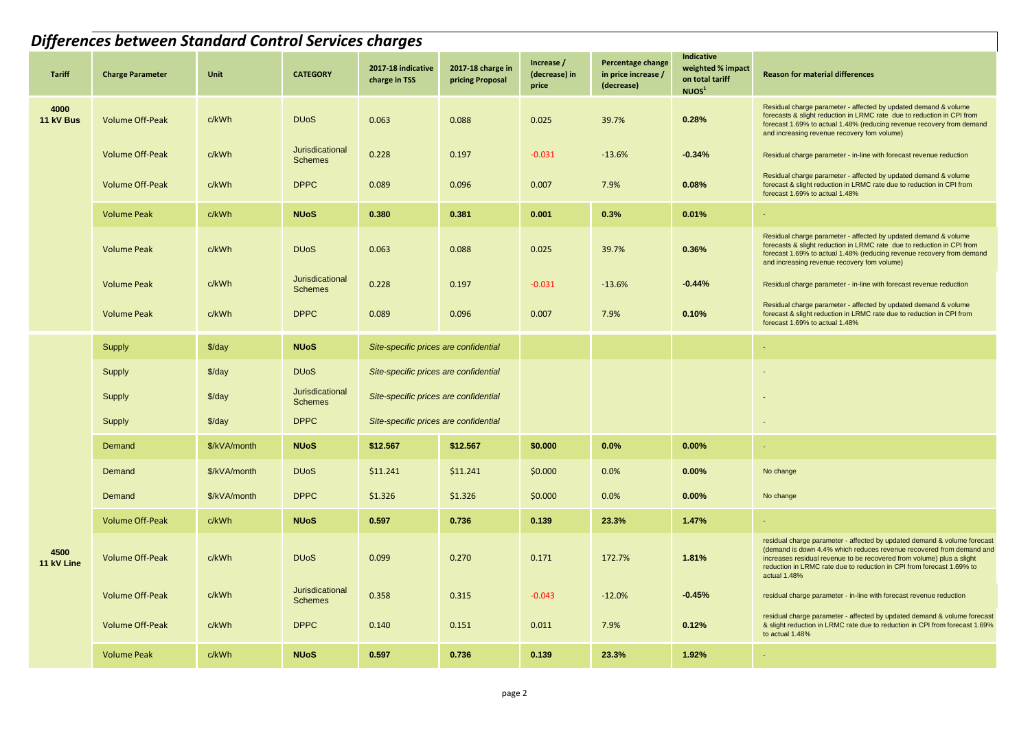|                    | <b>Differences between Standard Control Services charges</b> |                    |                                          |                                       |                                       |                                      |                                                        |                                                                         |                                                                                                                                                                                                                                                                                                                    |  |  |  |  |
|--------------------|--------------------------------------------------------------|--------------------|------------------------------------------|---------------------------------------|---------------------------------------|--------------------------------------|--------------------------------------------------------|-------------------------------------------------------------------------|--------------------------------------------------------------------------------------------------------------------------------------------------------------------------------------------------------------------------------------------------------------------------------------------------------------------|--|--|--|--|
| <b>Tariff</b>      | <b>Charge Parameter</b>                                      | Unit               | <b>CATEGORY</b>                          | 2017-18 indicative<br>charge in TSS   | 2017-18 charge in<br>pricing Proposal | Increase /<br>(decrease) in<br>price | Percentage change<br>in price increase /<br>(decrease) | Indicative<br>weighted % impact<br>on total tariff<br>NUOS <sup>1</sup> | <b>Reason for material differences</b>                                                                                                                                                                                                                                                                             |  |  |  |  |
| 4000<br>11 kV Bus  | <b>Volume Off-Peak</b>                                       | c/kWh              | <b>DU<sub>o</sub>S</b>                   | 0.063                                 | 0.088                                 | 0.025                                | 39.7%                                                  | 0.28%                                                                   | Residual charge parameter - affected by updated demand & volume<br>forecasts & slight reduction in LRMC rate due to reduction in CPI from<br>forecast 1.69% to actual 1.48% (reducing revenue recovery from demand<br>and increasing revenue recovery fom volume)                                                  |  |  |  |  |
|                    | <b>Volume Off-Peak</b>                                       | c/kWh              | <b>Jurisdicational</b><br><b>Schemes</b> | 0.228                                 | 0.197                                 | $-0.031$                             | $-13.6%$                                               | $-0.34%$                                                                | Residual charge parameter - in-line with forecast revenue reduction                                                                                                                                                                                                                                                |  |  |  |  |
|                    | <b>Volume Off-Peak</b>                                       | c/kWh              | <b>DPPC</b>                              | 0.089                                 | 0.096                                 | 0.007                                | 7.9%                                                   | 0.08%                                                                   | Residual charge parameter - affected by updated demand & volume<br>forecast & slight reduction in LRMC rate due to reduction in CPI from<br>forecast 1.69% to actual 1.48%                                                                                                                                         |  |  |  |  |
|                    | <b>Volume Peak</b>                                           | c/kWh              | <b>NUoS</b>                              | 0.380                                 | 0.381                                 | 0.001                                | 0.3%                                                   | 0.01%                                                                   | ×.                                                                                                                                                                                                                                                                                                                 |  |  |  |  |
|                    | <b>Volume Peak</b>                                           | c/kWh              | <b>DU<sub>o</sub>S</b>                   | 0.063                                 | 0.088                                 | 0.025                                | 39.7%                                                  | 0.36%                                                                   | Residual charge parameter - affected by updated demand & volume<br>forecasts & slight reduction in LRMC rate due to reduction in CPI from<br>forecast 1.69% to actual 1.48% (reducing revenue recovery from demand<br>and increasing revenue recovery fom volume)                                                  |  |  |  |  |
|                    | <b>Volume Peak</b>                                           | c/kWh              | <b>Jurisdicational</b><br><b>Schemes</b> | 0.228                                 | 0.197                                 | $-0.031$                             | $-13.6%$                                               | $-0.44%$                                                                | Residual charge parameter - in-line with forecast revenue reduction                                                                                                                                                                                                                                                |  |  |  |  |
|                    | <b>Volume Peak</b>                                           | c/kWh              | <b>DPPC</b>                              | 0.089                                 | 0.096                                 | 0.007                                | 7.9%                                                   | 0.10%                                                                   | Residual charge parameter - affected by updated demand & volume<br>forecast & slight reduction in LRMC rate due to reduction in CPI from<br>forecast 1.69% to actual 1.48%                                                                                                                                         |  |  |  |  |
|                    | Supply                                                       | $\frac{2}{3}$ /day | <b>NUoS</b>                              | Site-specific prices are confidential |                                       |                                      |                                                        |                                                                         |                                                                                                                                                                                                                                                                                                                    |  |  |  |  |
|                    | Supply                                                       | $\frac{3}{day}$    | <b>DU<sub>o</sub>S</b>                   | Site-specific prices are confidential |                                       |                                      |                                                        |                                                                         |                                                                                                                                                                                                                                                                                                                    |  |  |  |  |
|                    | Supply                                                       | $\frac{3}{day}$    | Jurisdicational<br><b>Schemes</b>        | Site-specific prices are confidential |                                       |                                      |                                                        |                                                                         |                                                                                                                                                                                                                                                                                                                    |  |  |  |  |
|                    | Supply                                                       | $\frac{3}{day}$    | <b>DPPC</b>                              | Site-specific prices are confidential |                                       |                                      |                                                        |                                                                         |                                                                                                                                                                                                                                                                                                                    |  |  |  |  |
|                    | Demand                                                       | \$/kVA/month       | <b>NUoS</b>                              | \$12.567                              | \$12.567                              | \$0.000                              | 0.0%                                                   | 0.00%                                                                   | $\sim$                                                                                                                                                                                                                                                                                                             |  |  |  |  |
|                    | Demand                                                       | \$/kVA/month       | <b>DU<sub>o</sub>S</b>                   | \$11.241                              | \$11.241                              | \$0.000                              | 0.0%                                                   | 0.00%                                                                   | No change                                                                                                                                                                                                                                                                                                          |  |  |  |  |
|                    | Demand                                                       | \$/kVA/month       | <b>DPPC</b>                              | \$1.326                               | \$1.326                               | \$0.000                              | 0.0%                                                   | 0.00%                                                                   | No change                                                                                                                                                                                                                                                                                                          |  |  |  |  |
|                    | <b>Volume Off-Peak</b>                                       | c/kWh              | <b>NUoS</b>                              | 0.597                                 | 0.736                                 | 0.139                                | 23.3%                                                  | 1.47%                                                                   |                                                                                                                                                                                                                                                                                                                    |  |  |  |  |
| 4500<br>11 kV Line | <b>Volume Off-Peak</b>                                       | c/kWh              | <b>DU<sub>o</sub>S</b>                   | 0.099                                 | 0.270                                 | 0.171                                | 172.7%                                                 | 1.81%                                                                   | residual charge parameter - affected by updated demand & volume forecast<br>(demand is down 4.4% which reduces revenue recovered from demand and<br>increases residual revenue to be recovered from volume) plus a slight<br>reduction in LRMC rate due to reduction in CPI from forecast 1.69% to<br>actual 1.48% |  |  |  |  |
|                    | <b>Volume Off-Peak</b>                                       | c/kWh              | Jurisdicational<br><b>Schemes</b>        | 0.358                                 | 0.315                                 | $-0.043$                             | $-12.0%$                                               | $-0.45%$                                                                | residual charge parameter - in-line with forecast revenue reduction                                                                                                                                                                                                                                                |  |  |  |  |
|                    | <b>Volume Off-Peak</b>                                       | c/kWh              | <b>DPPC</b>                              | 0.140                                 | 0.151                                 | 0.011                                | 7.9%                                                   | 0.12%                                                                   | residual charge parameter - affected by updated demand & volume forecast<br>& slight reduction in LRMC rate due to reduction in CPI from forecast 1.69%<br>to actual 1.48%                                                                                                                                         |  |  |  |  |
|                    | <b>Volume Peak</b>                                           | c/kWh              | <b>NUoS</b>                              | 0.597                                 | 0.736                                 | 0.139                                | 23.3%                                                  | 1.92%                                                                   | $\sim$                                                                                                                                                                                                                                                                                                             |  |  |  |  |
|                    |                                                              |                    |                                          |                                       | page 2                                |                                      |                                                        |                                                                         |                                                                                                                                                                                                                                                                                                                    |  |  |  |  |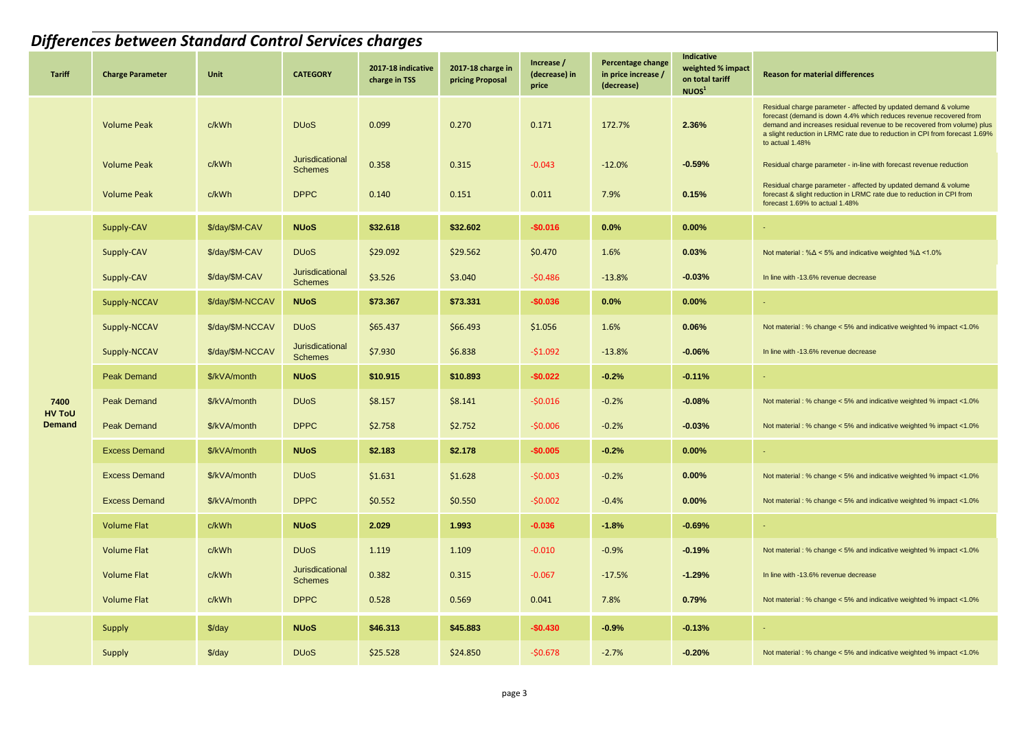|                       | Differences between Standard Control Services charges |                    |                                   |                                     |                                       |                                      |                                                        |                                                                         |                                                                                                                                                                                                                                                                                                                    |  |  |  |  |
|-----------------------|-------------------------------------------------------|--------------------|-----------------------------------|-------------------------------------|---------------------------------------|--------------------------------------|--------------------------------------------------------|-------------------------------------------------------------------------|--------------------------------------------------------------------------------------------------------------------------------------------------------------------------------------------------------------------------------------------------------------------------------------------------------------------|--|--|--|--|
| <b>Tariff</b>         | <b>Charge Parameter</b>                               | <b>Unit</b>        | <b>CATEGORY</b>                   | 2017-18 indicative<br>charge in TSS | 2017-18 charge in<br>pricing Proposal | Increase /<br>(decrease) in<br>price | Percentage change<br>in price increase /<br>(decrease) | Indicative<br>weighted % impact<br>on total tariff<br>NUOS <sup>1</sup> | <b>Reason for material differences</b>                                                                                                                                                                                                                                                                             |  |  |  |  |
|                       | <b>Volume Peak</b>                                    | c/kWh              | <b>DU<sub>o</sub>S</b>            | 0.099                               | 0.270                                 | 0.171                                | 172.7%                                                 | 2.36%                                                                   | Residual charge parameter - affected by updated demand & volume<br>forecast (demand is down 4.4% which reduces revenue recovered from<br>demand and increases residual revenue to be recovered from volume) plus<br>a slight reduction in LRMC rate due to reduction in CPI from forecast 1.69%<br>to actual 1.48% |  |  |  |  |
|                       | <b>Volume Peak</b>                                    | c/kWh              | Jurisdicational<br><b>Schemes</b> | 0.358                               | 0.315                                 | $-0.043$                             | $-12.0%$                                               | $-0.59%$                                                                | Residual charge parameter - in-line with forecast revenue reduction                                                                                                                                                                                                                                                |  |  |  |  |
|                       | <b>Volume Peak</b>                                    | c/kWh              | <b>DPPC</b>                       | 0.140                               | 0.151                                 | 0.011                                | 7.9%                                                   | 0.15%                                                                   | Residual charge parameter - affected by updated demand & volume<br>forecast & slight reduction in LRMC rate due to reduction in CPI from<br>forecast 1.69% to actual 1.48%                                                                                                                                         |  |  |  |  |
|                       | Supply-CAV                                            | \$/day/\$M-CAV     | <b>NUoS</b>                       | \$32.618                            | \$32.602                              | $-$0.016$                            | 0.0%                                                   | 0.00%                                                                   |                                                                                                                                                                                                                                                                                                                    |  |  |  |  |
|                       | Supply-CAV                                            | \$/day/\$M-CAV     | <b>DU<sub>o</sub>S</b>            | \$29.092                            | \$29.562                              | \$0.470                              | 1.6%                                                   | 0.03%                                                                   | Not material : % $\Delta$ < 5% and indicative weighted % $\Delta$ < 1.0%                                                                                                                                                                                                                                           |  |  |  |  |
|                       | Supply-CAV                                            | \$/day/\$M-CAV     | Jurisdicational<br><b>Schemes</b> | \$3.526                             | \$3.040                               | $-50.486$                            | $-13.8%$                                               | $-0.03%$                                                                | In line with -13.6% revenue decrease                                                                                                                                                                                                                                                                               |  |  |  |  |
|                       | Supply-NCCAV                                          | \$/day/\$M-NCCAV   | <b>NUoS</b>                       | \$73.367                            | \$73,331                              | $-$0.036$                            | 0.0%                                                   | 0.00%                                                                   |                                                                                                                                                                                                                                                                                                                    |  |  |  |  |
|                       | Supply-NCCAV                                          | \$/day/\$M-NCCAV   | <b>DU<sub>o</sub>S</b>            | \$65.437                            | \$66.493                              | \$1.056                              | 1.6%                                                   | 0.06%                                                                   | Not material: % change < 5% and indicative weighted % impact <1.0%                                                                                                                                                                                                                                                 |  |  |  |  |
|                       | Supply-NCCAV                                          | \$/day/\$M-NCCAV   | Jurisdicational<br><b>Schemes</b> | \$7.930                             | \$6.838                               | $-51.092$                            | $-13.8%$                                               | $-0.06%$                                                                | In line with -13.6% revenue decrease                                                                                                                                                                                                                                                                               |  |  |  |  |
|                       | <b>Peak Demand</b>                                    | \$/kVA/month       | <b>NUoS</b>                       | \$10.915                            | \$10.893                              | $-$0.022$                            | $-0.2%$                                                | $-0.11%$                                                                | ÷                                                                                                                                                                                                                                                                                                                  |  |  |  |  |
| 7400<br><b>HV ToU</b> | <b>Peak Demand</b>                                    | \$/kVA/month       | <b>DU<sub>o</sub>S</b>            | \$8.157                             | \$8.141                               | $-50.016$                            | $-0.2%$                                                | $-0.08%$                                                                | Not material : % change < 5% and indicative weighted % impact <1.0%                                                                                                                                                                                                                                                |  |  |  |  |
| <b>Demand</b>         | <b>Peak Demand</b>                                    | \$/kVA/month       | <b>DPPC</b>                       | \$2.758                             | \$2.752                               | $-50.006$                            | $-0.2%$                                                | $-0.03%$                                                                | Not material: % change < 5% and indicative weighted % impact <1.0%                                                                                                                                                                                                                                                 |  |  |  |  |
|                       | <b>Excess Demand</b>                                  | \$/kVA/month       | <b>NUoS</b>                       | \$2.183                             | \$2.178                               | $-$0.005$                            | $-0.2%$                                                | 0.00%                                                                   | ÷.                                                                                                                                                                                                                                                                                                                 |  |  |  |  |
|                       | <b>Excess Demand</b>                                  | \$/kVA/month       | <b>DU<sub>o</sub>S</b>            | \$1.631                             | \$1.628                               | $-50.003$                            | $-0.2%$                                                | 0.00%                                                                   | Not material : % change < 5% and indicative weighted % impact <1.0%                                                                                                                                                                                                                                                |  |  |  |  |
|                       | <b>Excess Demand</b>                                  | \$/kVA/month       | <b>DPPC</b>                       | \$0.552                             | \$0.550                               | $-50.002$                            | $-0.4%$                                                | 0.00%                                                                   | Not material : % change < 5% and indicative weighted % impact <1.0%                                                                                                                                                                                                                                                |  |  |  |  |
|                       | <b>Volume Flat</b>                                    | c/kWh              | <b>NUoS</b>                       | 2.029                               | 1.993                                 | $-0.036$                             | $-1.8%$                                                | $-0.69%$                                                                | ÷.                                                                                                                                                                                                                                                                                                                 |  |  |  |  |
|                       | Volume Flat                                           | c/kWh              | <b>DU<sub>o</sub>S</b>            | 1.119                               | 1.109                                 | $-0.010$                             | $-0.9%$                                                | $-0.19%$                                                                | Not material: % change < 5% and indicative weighted % impact <1.0%                                                                                                                                                                                                                                                 |  |  |  |  |
|                       | <b>Volume Flat</b>                                    | c/kWh              | Jurisdicational<br><b>Schemes</b> | 0.382                               | 0.315                                 | $-0.067$                             | $-17.5%$                                               | $-1.29%$                                                                | In line with -13.6% revenue decrease                                                                                                                                                                                                                                                                               |  |  |  |  |
|                       | <b>Volume Flat</b>                                    | c/kWh              | <b>DPPC</b>                       | 0.528                               | 0.569                                 | 0.041                                | 7.8%                                                   | 0.79%                                                                   | Not material : % change < 5% and indicative weighted % impact <1.0%                                                                                                                                                                                                                                                |  |  |  |  |
|                       | <b>Supply</b>                                         | $\frac{1}{2}$ /day | <b>NUoS</b>                       | \$46.313                            | \$45.883                              | $-$0.430$                            | $-0.9%$                                                | $-0.13%$                                                                |                                                                                                                                                                                                                                                                                                                    |  |  |  |  |
|                       | Supply                                                | $\frac{3}{day}$    | <b>DU<sub>o</sub>S</b>            | \$25.528                            | \$24.850                              | $-50.678$                            | $-2.7%$                                                | $-0.20%$                                                                | Not material : % change < 5% and indicative weighted % impact <1.0%                                                                                                                                                                                                                                                |  |  |  |  |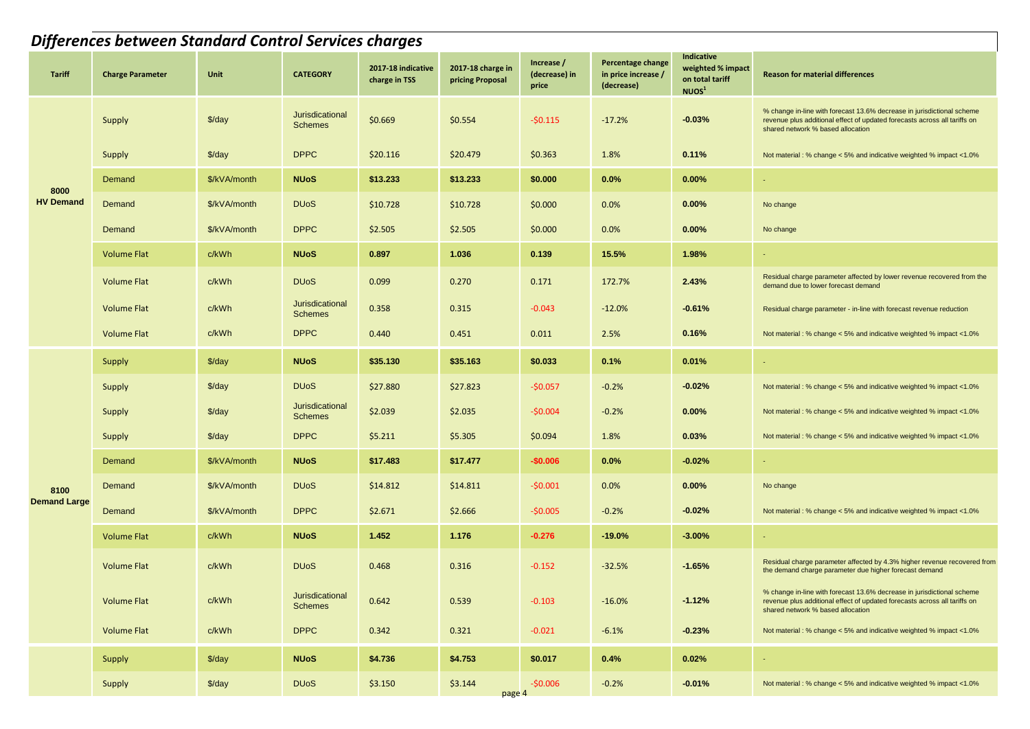|                     | <b>Differences between Standard Control Services charges</b> |                      |                                   |                                     |                                       |                                      |                                                        |                                                                                |                                                                                                                                                                                          |  |  |  |  |
|---------------------|--------------------------------------------------------------|----------------------|-----------------------------------|-------------------------------------|---------------------------------------|--------------------------------------|--------------------------------------------------------|--------------------------------------------------------------------------------|------------------------------------------------------------------------------------------------------------------------------------------------------------------------------------------|--|--|--|--|
| Tariff              | <b>Charge Parameter</b>                                      | Unit                 | <b>CATEGORY</b>                   | 2017-18 indicative<br>charge in TSS | 2017-18 charge in<br>pricing Proposal | Increase /<br>(decrease) in<br>price | Percentage change<br>in price increase /<br>(decrease) | <b>Indicative</b><br>weighted % impact<br>on total tariff<br>NUOS <sup>1</sup> | <b>Reason for material differences</b>                                                                                                                                                   |  |  |  |  |
|                     | Supply                                                       | $\frac{\sqrt{3}}{4}$ | Jurisdicational<br><b>Schemes</b> | \$0.669                             | \$0.554                               | -\$0.115                             | $-17.2%$                                               | $-0.03%$                                                                       | % change in-line with forecast 13.6% decrease in jurisdictional scheme<br>revenue plus additional effect of updated forecasts across all tariffs on<br>shared network % based allocation |  |  |  |  |
|                     | Supply                                                       | $\frac{3}{day}$      | <b>DPPC</b>                       | \$20.116                            | \$20.479                              | \$0.363                              | 1.8%                                                   | 0.11%                                                                          | Not material : % change < 5% and indicative weighted % impact <1.0%                                                                                                                      |  |  |  |  |
| 8000                | Demand                                                       | \$/kVA/month         | <b>NUoS</b>                       | \$13.233                            | \$13.233                              | \$0.000                              | 0.0%                                                   | 0.00%                                                                          | $\blacksquare$                                                                                                                                                                           |  |  |  |  |
| <b>HV Demand</b>    | Demand                                                       | \$/kVA/month         | <b>DU<sub>o</sub>S</b>            | \$10.728                            | \$10.728                              | \$0.000                              | 0.0%                                                   | 0.00%                                                                          | No change                                                                                                                                                                                |  |  |  |  |
|                     | Demand                                                       | \$/kVA/month         | <b>DPPC</b>                       | \$2.505                             | \$2.505                               | \$0.000                              | 0.0%                                                   | 0.00%                                                                          | No change                                                                                                                                                                                |  |  |  |  |
|                     | <b>Volume Flat</b>                                           | c/kWh                | <b>NUoS</b>                       | 0.897                               | 1.036                                 | 0.139                                | 15.5%                                                  | 1.98%                                                                          | $\sim$                                                                                                                                                                                   |  |  |  |  |
|                     | <b>Volume Flat</b>                                           | c/kWh                | <b>DU<sub>o</sub>S</b>            | 0.099                               | 0.270                                 | 0.171                                | 172.7%                                                 | 2.43%                                                                          | Residual charge parameter affected by lower revenue recovered from the<br>demand due to lower forecast demand                                                                            |  |  |  |  |
|                     | <b>Volume Flat</b>                                           | c/kWh                | Jurisdicational<br><b>Schemes</b> | 0.358                               | 0.315                                 | $-0.043$                             | $-12.0%$                                               | $-0.61%$                                                                       | Residual charge parameter - in-line with forecast revenue reduction                                                                                                                      |  |  |  |  |
|                     | <b>Volume Flat</b>                                           | c/kWh                | <b>DPPC</b>                       | 0.440                               | 0.451                                 | 0.011                                | 2.5%                                                   | 0.16%                                                                          | Not material: % change < 5% and indicative weighted % impact <1.0%                                                                                                                       |  |  |  |  |
|                     | Supply                                                       | $\frac{3}{day}$      | <b>NUoS</b>                       | \$35.130                            | \$35.163                              | \$0.033                              | 0.1%                                                   | 0.01%                                                                          | $\blacksquare$                                                                                                                                                                           |  |  |  |  |
|                     | Supply                                                       | $\frac{\sqrt{3}}{4}$ | <b>DU<sub>o</sub>S</b>            | \$27.880                            | \$27.823                              | -\$0.057                             | $-0.2%$                                                | $-0.02%$                                                                       | Not material : % change < 5% and indicative weighted % impact <1.0%                                                                                                                      |  |  |  |  |
|                     | Supply                                                       | $\frac{3}{day}$      | Jurisdicational<br><b>Schemes</b> | \$2.039                             | \$2.035                               | -\$0.004                             | $-0.2%$                                                | 0.00%                                                                          | Not material : % change < 5% and indicative weighted % impact <1.0%                                                                                                                      |  |  |  |  |
|                     | Supply                                                       | $\frac{3}{day}$      | <b>DPPC</b>                       | \$5.211                             | \$5.305                               | \$0.094                              | 1.8%                                                   | 0.03%                                                                          | Not material : % change < 5% and indicative weighted % impact <1.0%                                                                                                                      |  |  |  |  |
|                     | Demand                                                       | \$/kVA/month         | <b>NUoS</b>                       | \$17.483                            | \$17.477                              | -\$0.006                             | 0.0%                                                   | $-0.02%$                                                                       | $\sim$                                                                                                                                                                                   |  |  |  |  |
| 8100                | Demand                                                       | \$/kVA/month         | <b>DU<sub>o</sub>S</b>            | \$14.812                            | \$14.811                              | -\$0.001                             | 0.0%                                                   | 0.00%                                                                          | No change                                                                                                                                                                                |  |  |  |  |
| <b>Demand Large</b> | Demand                                                       | \$/kVA/month         | <b>DPPC</b>                       | \$2.671                             | \$2.666                               | -\$0.005                             | $-0.2%$                                                | $-0.02%$                                                                       | Not material : % change < 5% and indicative weighted % impact <1.0%                                                                                                                      |  |  |  |  |
|                     | <b>Volume Flat</b>                                           | c/kWh                | <b>NUoS</b>                       | 1.452                               | 1.176                                 | $-0.276$                             | $-19.0%$                                               | $-3.00%$                                                                       | $\blacksquare$                                                                                                                                                                           |  |  |  |  |
|                     | <b>Volume Flat</b>                                           | c/kWh                | <b>DU<sub>o</sub>S</b>            | 0.468                               | 0.316                                 | $-0.152$                             | $-32.5%$                                               | $-1.65%$                                                                       | Residual charge parameter affected by 4.3% higher revenue recovered from<br>the demand charge parameter due higher forecast demand                                                       |  |  |  |  |
|                     | <b>Volume Flat</b>                                           | c/kWh                | Jurisdicational<br><b>Schemes</b> | 0.642                               | 0.539                                 | $-0.103$                             | $-16.0%$                                               | $-1.12%$                                                                       | % change in-line with forecast 13.6% decrease in jurisdictional scheme<br>revenue plus additional effect of updated forecasts across all tariffs on<br>shared network % based allocation |  |  |  |  |
|                     | <b>Volume Flat</b>                                           | c/kWh                | <b>DPPC</b>                       | 0.342                               | 0.321                                 | $-0.021$                             | $-6.1%$                                                | $-0.23%$                                                                       | Not material : % change < 5% and indicative weighted % impact <1.0%                                                                                                                      |  |  |  |  |
|                     | Supply                                                       | $\frac{2}{3}$ /day   | <b>NUoS</b>                       | \$4.736                             | \$4.753                               | \$0.017                              | 0.4%                                                   | 0.02%                                                                          | $\sim$                                                                                                                                                                                   |  |  |  |  |
|                     | Supply                                                       | $\frac{3}{day}$      | <b>DU<sub>o</sub>S</b>            | \$3.150                             | \$3.144<br>page 4                     | -\$0.006                             | $-0.2%$                                                | $-0.01%$                                                                       | Not material : % change < 5% and indicative weighted % impact <1.0%                                                                                                                      |  |  |  |  |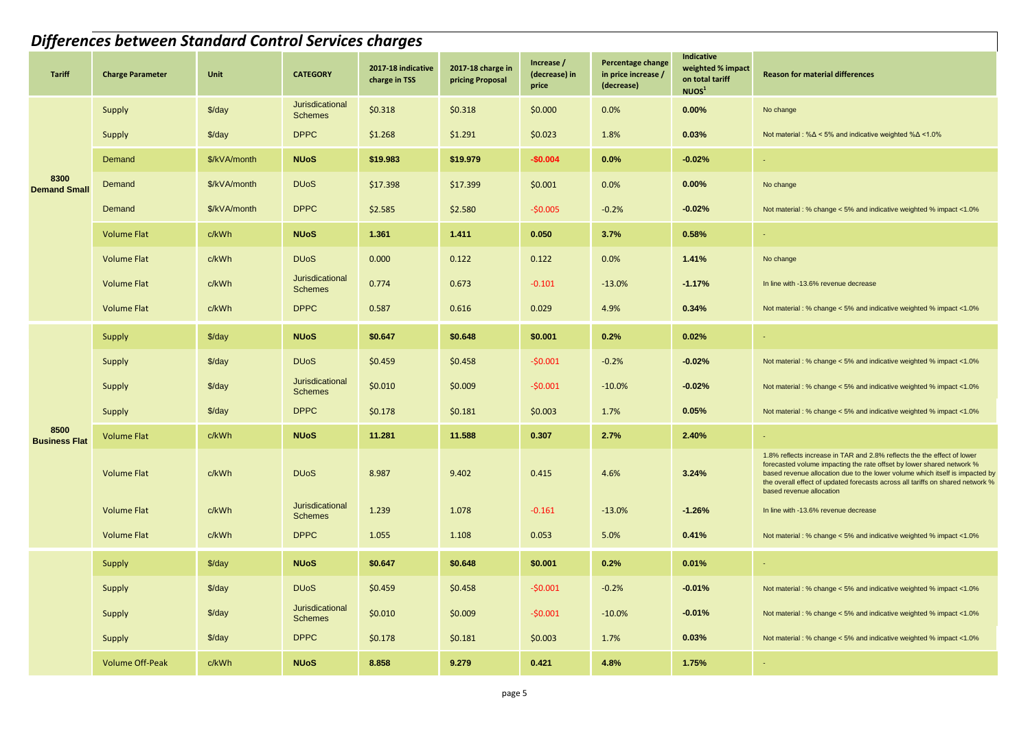|                              | <b>Differences between Standard Control Services charges</b> |                    |                                   |                                     |                                       |                                      |                                                        |                                                                         |                                                                                                                                                                                                                                                                                                                                                |  |  |  |  |
|------------------------------|--------------------------------------------------------------|--------------------|-----------------------------------|-------------------------------------|---------------------------------------|--------------------------------------|--------------------------------------------------------|-------------------------------------------------------------------------|------------------------------------------------------------------------------------------------------------------------------------------------------------------------------------------------------------------------------------------------------------------------------------------------------------------------------------------------|--|--|--|--|
| Tariff                       | <b>Charge Parameter</b>                                      | Unit               | <b>CATEGORY</b>                   | 2017-18 indicative<br>charge in TSS | 2017-18 charge in<br>pricing Proposal | Increase /<br>(decrease) in<br>price | Percentage change<br>in price increase /<br>(decrease) | Indicative<br>weighted % impact<br>on total tariff<br>NUOS <sup>1</sup> | <b>Reason for material differences</b>                                                                                                                                                                                                                                                                                                         |  |  |  |  |
|                              | Supply                                                       | $\frac{3}{day}$    | Jurisdicational<br><b>Schemes</b> | \$0.318                             | \$0.318                               | \$0.000                              | 0.0%                                                   | 0.00%                                                                   | No change                                                                                                                                                                                                                                                                                                                                      |  |  |  |  |
|                              | Supply                                                       | \$/day             | <b>DPPC</b>                       | \$1.268                             | \$1.291                               | \$0.023                              | 1.8%                                                   | 0.03%                                                                   | Not material : % $\Delta$ < 5% and indicative weighted % $\Delta$ < 1.0%                                                                                                                                                                                                                                                                       |  |  |  |  |
|                              | Demand                                                       | \$/kVA/month       | <b>NUoS</b>                       | \$19.983                            | \$19.979                              | $-$0.004$                            | 0.0%                                                   | $-0.02%$                                                                |                                                                                                                                                                                                                                                                                                                                                |  |  |  |  |
| 8300<br><b>Demand Small</b>  | Demand                                                       | \$/kVA/month       | <b>DU<sub>o</sub>S</b>            | \$17.398                            | \$17.399                              | \$0.001                              | 0.0%                                                   | 0.00%                                                                   | No change                                                                                                                                                                                                                                                                                                                                      |  |  |  |  |
|                              | Demand                                                       | \$/kVA/month       | <b>DPPC</b>                       | \$2.585                             | \$2.580                               | $-50.005$                            | $-0.2%$                                                | $-0.02%$                                                                | Not material: % change < 5% and indicative weighted % impact <1.0%                                                                                                                                                                                                                                                                             |  |  |  |  |
|                              | <b>Volume Flat</b>                                           | c/kWh              | <b>NUoS</b>                       | 1.361                               | 1.411                                 | 0.050                                | 3.7%                                                   | 0.58%                                                                   |                                                                                                                                                                                                                                                                                                                                                |  |  |  |  |
|                              | Volume Flat                                                  | c/kWh              | <b>DU<sub>o</sub>S</b>            | 0.000                               | 0.122                                 | 0.122                                | 0.0%                                                   | 1.41%                                                                   | No change                                                                                                                                                                                                                                                                                                                                      |  |  |  |  |
|                              | <b>Volume Flat</b>                                           | c/kWh              | Jurisdicational<br><b>Schemes</b> | 0.774                               | 0.673                                 | $-0.101$                             | $-13.0%$                                               | $-1.17%$                                                                | In line with -13.6% revenue decrease                                                                                                                                                                                                                                                                                                           |  |  |  |  |
|                              | <b>Volume Flat</b>                                           | c/kWh              | <b>DPPC</b>                       | 0.587                               | 0.616                                 | 0.029                                | 4.9%                                                   | 0.34%                                                                   | Not material: % change < 5% and indicative weighted % impact <1.0%                                                                                                                                                                                                                                                                             |  |  |  |  |
|                              | Supply                                                       | $\frac{3}{day}$    | <b>NUoS</b>                       | \$0.647                             | \$0.648                               | \$0.001                              | 0.2%                                                   | 0.02%                                                                   |                                                                                                                                                                                                                                                                                                                                                |  |  |  |  |
|                              | Supply                                                       | $\frac{3}{day}$    | <b>DU<sub>o</sub>S</b>            | \$0.459                             | \$0.458                               | -\$0.001                             | $-0.2%$                                                | $-0.02%$                                                                | Not material: % change < 5% and indicative weighted % impact <1.0%                                                                                                                                                                                                                                                                             |  |  |  |  |
|                              | Supply                                                       | \$/day             | Jurisdicational<br><b>Schemes</b> | \$0.010                             | \$0.009                               | $-50.001$                            | $-10.0%$                                               | $-0.02%$                                                                | Not material : % change < 5% and indicative weighted % impact <1.0%                                                                                                                                                                                                                                                                            |  |  |  |  |
|                              | Supply                                                       | \$/day             | <b>DPPC</b>                       | \$0.178                             | \$0.181                               | \$0.003                              | 1.7%                                                   | 0.05%                                                                   | Not material : % change < 5% and indicative weighted % impact <1.0%                                                                                                                                                                                                                                                                            |  |  |  |  |
| 8500<br><b>Business Flat</b> | <b>Volume Flat</b>                                           | c/kWh              | <b>NUoS</b>                       | 11.281                              | 11.588                                | 0.307                                | 2.7%                                                   | 2.40%                                                                   |                                                                                                                                                                                                                                                                                                                                                |  |  |  |  |
|                              | <b>Volume Flat</b>                                           | c/kWh              | <b>DU<sub>o</sub>S</b>            | 8.987                               | 9.402                                 | 0.415                                | 4.6%                                                   | 3.24%                                                                   | 1.8% reflects increase in TAR and 2.8% reflects the the effect of lower<br>forecasted volume impacting the rate offset by lower shared network %<br>based revenue allocation due to the lower volume which itself is impacted by<br>the overall effect of updated forecasts across all tariffs on shared network %<br>based revenue allocation |  |  |  |  |
|                              | Volume Flat                                                  | c/kWh              | Jurisdicational<br><b>Schemes</b> | 1.239                               | 1.078                                 | $-0.161$                             | $-13.0%$                                               | $-1.26%$                                                                | In line with -13.6% revenue decrease                                                                                                                                                                                                                                                                                                           |  |  |  |  |
|                              | Volume Flat                                                  | c/kWh              | <b>DPPC</b>                       | 1.055                               | 1.108                                 | 0.053                                | 5.0%                                                   | 0.41%                                                                   | Not material : % change < 5% and indicative weighted % impact <1.0%                                                                                                                                                                                                                                                                            |  |  |  |  |
|                              | Supply                                                       | $\frac{3}{day}$    | <b>NUoS</b>                       | \$0.647                             | \$0.648                               | \$0.001                              | 0.2%                                                   | 0.01%                                                                   |                                                                                                                                                                                                                                                                                                                                                |  |  |  |  |
|                              | Supply                                                       | $\frac{1}{2}$      | <b>DU<sub>o</sub>S</b>            | \$0.459                             | \$0.458                               | $-50.001$                            | $-0.2%$                                                | $-0.01%$                                                                | Not material : % change < 5% and indicative weighted % impact <1.0%                                                                                                                                                                                                                                                                            |  |  |  |  |
|                              | Supply                                                       | $\frac{1}{2}$ /day | Jurisdicational<br><b>Schemes</b> | \$0.010                             | \$0.009                               | $-50.001$                            | $-10.0%$                                               | $-0.01%$                                                                | Not material : % change < 5% and indicative weighted % impact <1.0%                                                                                                                                                                                                                                                                            |  |  |  |  |
|                              | Supply                                                       | $\frac{1}{2}$      | <b>DPPC</b>                       | \$0.178                             | \$0.181                               | \$0.003                              | 1.7%                                                   | 0.03%                                                                   | Not material : % change < 5% and indicative weighted % impact <1.0%                                                                                                                                                                                                                                                                            |  |  |  |  |
|                              | <b>Volume Off-Peak</b>                                       | c/kWh              | <b>NUoS</b>                       | 8.858                               | 9.279                                 | 0.421                                | 4.8%                                                   | 1.75%                                                                   | $\sim$                                                                                                                                                                                                                                                                                                                                         |  |  |  |  |
|                              |                                                              |                    |                                   |                                     | page 5                                |                                      |                                                        |                                                                         |                                                                                                                                                                                                                                                                                                                                                |  |  |  |  |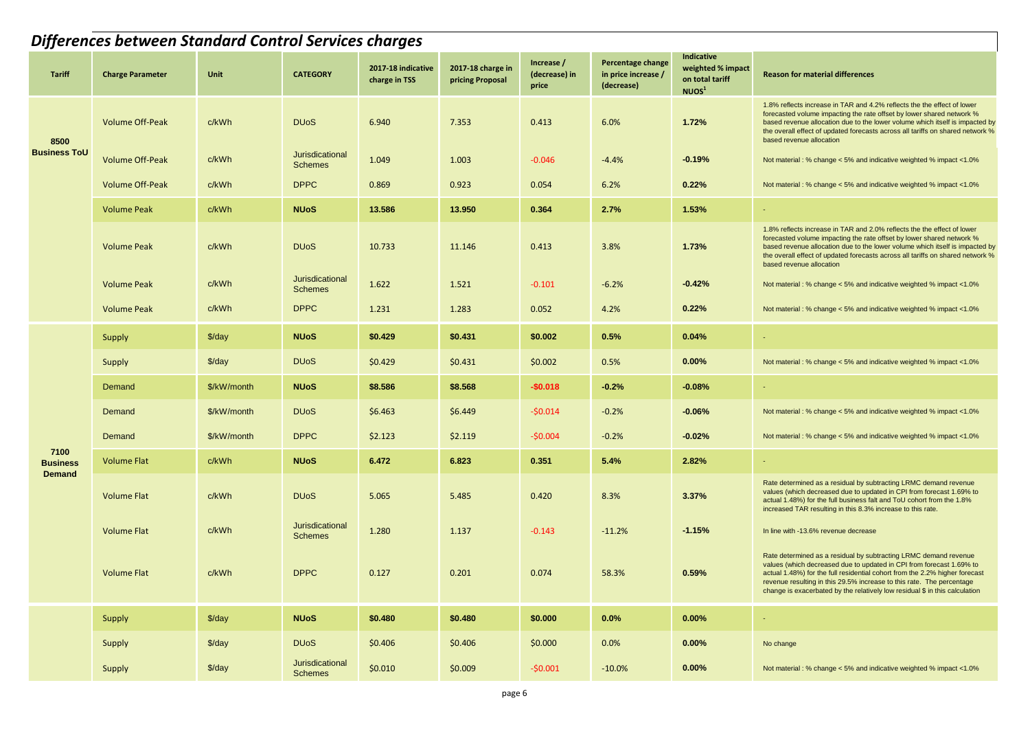|                         | <b>Differences between Standard Control Services charges</b> |                    |                                   |                                     |                                       |                                      |                                                        |                                                                         |                                                                                                                                                                                                                                                                                                                                                                                 |  |  |  |  |
|-------------------------|--------------------------------------------------------------|--------------------|-----------------------------------|-------------------------------------|---------------------------------------|--------------------------------------|--------------------------------------------------------|-------------------------------------------------------------------------|---------------------------------------------------------------------------------------------------------------------------------------------------------------------------------------------------------------------------------------------------------------------------------------------------------------------------------------------------------------------------------|--|--|--|--|
| <b>Tariff</b>           | <b>Charge Parameter</b>                                      | Unit               | <b>CATEGORY</b>                   | 2017-18 indicative<br>charge in TSS | 2017-18 charge in<br>pricing Proposal | Increase /<br>(decrease) in<br>price | Percentage change<br>in price increase /<br>(decrease) | Indicative<br>weighted % impact<br>on total tariff<br>NUOS <sup>1</sup> | <b>Reason for material differences</b>                                                                                                                                                                                                                                                                                                                                          |  |  |  |  |
| 8500                    | <b>Volume Off-Peak</b>                                       | c/kWh              | <b>DU<sub>o</sub>S</b>            | 6.940                               | 7.353                                 | 0.413                                | 6.0%                                                   | 1.72%                                                                   | 1.8% reflects increase in TAR and 4.2% reflects the the effect of lower<br>forecasted volume impacting the rate offset by lower shared network %<br>based revenue allocation due to the lower volume which itself is impacted by<br>the overall effect of updated forecasts across all tariffs on shared network %<br>based revenue allocation                                  |  |  |  |  |
| <b>Business ToU</b>     | <b>Volume Off-Peak</b>                                       | c/kWh              | Jurisdicational<br><b>Schemes</b> | 1.049                               | 1.003                                 | $-0.046$                             | $-4.4%$                                                | $-0.19%$                                                                | Not material : % change < 5% and indicative weighted % impact <1.0%                                                                                                                                                                                                                                                                                                             |  |  |  |  |
|                         | Volume Off-Peak                                              | c/kWh              | <b>DPPC</b>                       | 0.869                               | 0.923                                 | 0.054                                | 6.2%                                                   | 0.22%                                                                   | Not material : % change < 5% and indicative weighted % impact <1.0%                                                                                                                                                                                                                                                                                                             |  |  |  |  |
|                         | <b>Volume Peak</b>                                           | c/kWh              | <b>NUoS</b>                       | 13.586                              | 13.950                                | 0.364                                | 2.7%                                                   | 1.53%                                                                   |                                                                                                                                                                                                                                                                                                                                                                                 |  |  |  |  |
|                         | <b>Volume Peak</b>                                           | c/kWh              | <b>DU<sub>o</sub>S</b>            | 10.733                              | 11.146                                | 0.413                                | 3.8%                                                   | 1.73%                                                                   | 1.8% reflects increase in TAR and 2.0% reflects the the effect of lower<br>forecasted volume impacting the rate offset by lower shared network %<br>based revenue allocation due to the lower volume which itself is impacted by<br>the overall effect of updated forecasts across all tariffs on shared network %<br>based revenue allocation                                  |  |  |  |  |
|                         | <b>Volume Peak</b>                                           | c/kWh              | Jurisdicational<br><b>Schemes</b> | 1.622                               | 1.521                                 | $-0.101$                             | $-6.2%$                                                | $-0.42%$                                                                | Not material : % change < 5% and indicative weighted % impact <1.0%                                                                                                                                                                                                                                                                                                             |  |  |  |  |
|                         | <b>Volume Peak</b>                                           | c/kWh              | <b>DPPC</b>                       | 1.231                               | 1.283                                 | 0.052                                | 4.2%                                                   | 0.22%                                                                   | Not material: % change < 5% and indicative weighted % impact <1.0%                                                                                                                                                                                                                                                                                                              |  |  |  |  |
|                         | <b>Supply</b>                                                | $\frac{3}{day}$    | <b>NUoS</b>                       | \$0.429                             | \$0.431                               | \$0.002                              | 0.5%                                                   | 0.04%                                                                   | $\sim$                                                                                                                                                                                                                                                                                                                                                                          |  |  |  |  |
|                         | Supply                                                       | $\frac{3}{day}$    | <b>DU<sub>o</sub>S</b>            | \$0.429                             | \$0.431                               | \$0.002                              | 0.5%                                                   | 0.00%                                                                   | Not material : % change < 5% and indicative weighted % impact <1.0%                                                                                                                                                                                                                                                                                                             |  |  |  |  |
|                         | Demand                                                       | \$/kW/month        | <b>NUoS</b>                       | \$8.586                             | \$8.568                               | $-$0.018$                            | $-0.2%$                                                | $-0.08%$                                                                | <b>COL</b>                                                                                                                                                                                                                                                                                                                                                                      |  |  |  |  |
|                         | Demand                                                       | \$/kW/month        | <b>DU<sub>o</sub>S</b>            | \$6.463                             | \$6.449                               | $-50.014$                            | $-0.2%$                                                | $-0.06%$                                                                | Not material : % change < 5% and indicative weighted % impact <1.0%                                                                                                                                                                                                                                                                                                             |  |  |  |  |
|                         | Demand                                                       | \$/kW/month        | <b>DPPC</b>                       | \$2.123                             | \$2.119                               | $-50.004$                            | $-0.2%$                                                | $-0.02%$                                                                | Not material : % change < 5% and indicative weighted % impact <1.0%                                                                                                                                                                                                                                                                                                             |  |  |  |  |
| 7100<br><b>Business</b> | <b>Volume Flat</b>                                           | c/kWh              | <b>NUoS</b>                       | 6.472                               | 6.823                                 | 0.351                                | 5.4%                                                   | 2.82%                                                                   | $\sim$                                                                                                                                                                                                                                                                                                                                                                          |  |  |  |  |
| <b>Demand</b>           | <b>Volume Flat</b>                                           | c/kWh              | <b>DU<sub>o</sub>S</b>            | 5.065                               | 5.485                                 | 0.420                                | 8.3%                                                   | 3.37%                                                                   | Rate determined as a residual by subtracting LRMC demand revenue<br>values (which decreased due to updated in CPI from forecast 1.69% to<br>actual 1.48%) for the full business falt and ToU cohort from the 1.8%<br>increased TAR resulting in this 8.3% increase to this rate.                                                                                                |  |  |  |  |
|                         | <b>Volume Flat</b>                                           | c/kWh              | Jurisdicational<br><b>Schemes</b> | 1.280                               | 1.137                                 | $-0.143$                             | $-11.2%$                                               | $-1.15%$                                                                | In line with -13.6% revenue decrease                                                                                                                                                                                                                                                                                                                                            |  |  |  |  |
|                         | <b>Volume Flat</b>                                           | c/kWh              | <b>DPPC</b>                       | 0.127                               | 0.201                                 | 0.074                                | 58.3%                                                  | 0.59%                                                                   | Rate determined as a residual by subtracting LRMC demand revenue<br>values (which decreased due to updated in CPI from forecast 1.69% to<br>actual 1.48%) for the full residential cohort from the 2.2% higher forecast<br>revenue resulting in this 29.5% increase to this rate. The percentage<br>change is exacerbated by the relatively low residual \$ in this calculation |  |  |  |  |
|                         | Supply                                                       | $\frac{1}{2}$ /day | <b>NUoS</b>                       | \$0.480                             | \$0.480                               | \$0.000                              | $0.0\%$                                                | 0.00%                                                                   | $\sim$                                                                                                                                                                                                                                                                                                                                                                          |  |  |  |  |
|                         | Supply                                                       | $\frac{3}{day}$    | <b>DU<sub>o</sub>S</b>            | \$0.406                             | \$0.406                               | \$0.000                              | 0.0%                                                   | 0.00%                                                                   | No change                                                                                                                                                                                                                                                                                                                                                                       |  |  |  |  |
|                         | Supply                                                       | $\frac{3}{day}$    | Jurisdicational<br><b>Schemes</b> | \$0.010                             | \$0.009                               | $-50.001$                            | $-10.0%$                                               | 0.00%                                                                   | Not material : % change < 5% and indicative weighted % impact <1.0%                                                                                                                                                                                                                                                                                                             |  |  |  |  |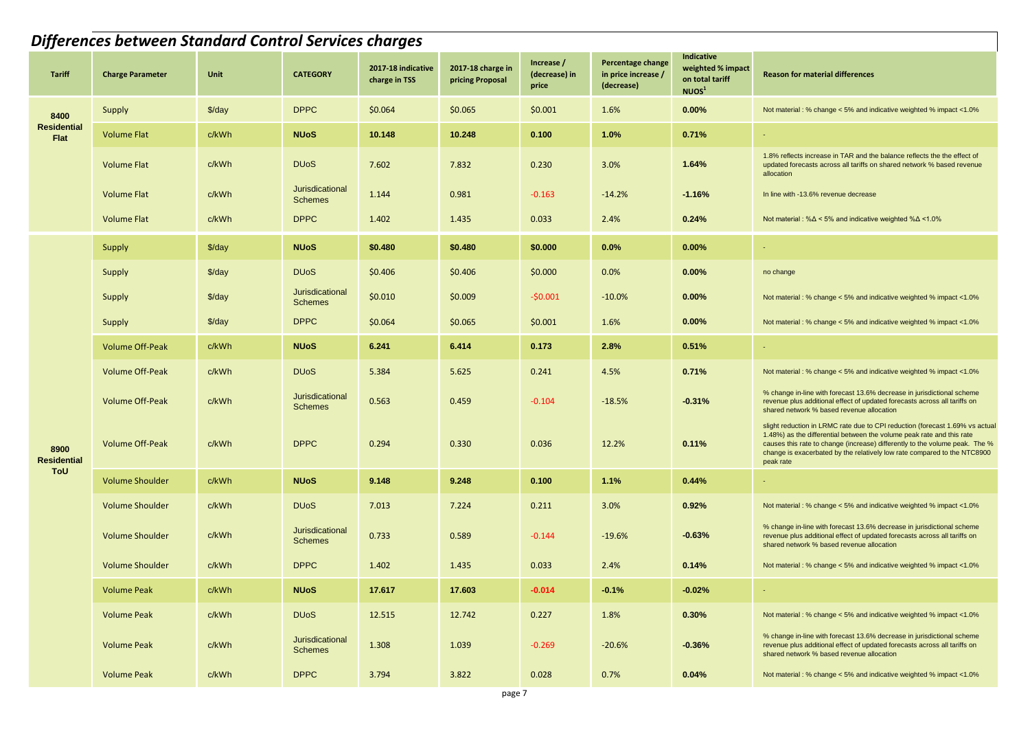|                            | Differences between Standard Control Services charges |                 |                                   |                                     |                                       |                                      |                                                        |                                                                                |                                                                                                                                                                                                                                                                                                                               |  |  |  |  |
|----------------------------|-------------------------------------------------------|-----------------|-----------------------------------|-------------------------------------|---------------------------------------|--------------------------------------|--------------------------------------------------------|--------------------------------------------------------------------------------|-------------------------------------------------------------------------------------------------------------------------------------------------------------------------------------------------------------------------------------------------------------------------------------------------------------------------------|--|--|--|--|
| <b>Tariff</b>              | <b>Charge Parameter</b>                               | Unit            | <b>CATEGORY</b>                   | 2017-18 indicative<br>charge in TSS | 2017-18 charge in<br>pricing Proposal | Increase /<br>(decrease) in<br>price | Percentage change<br>in price increase /<br>(decrease) | <b>Indicative</b><br>weighted % impact<br>on total tariff<br>NUOS <sup>1</sup> | <b>Reason for material differences</b>                                                                                                                                                                                                                                                                                        |  |  |  |  |
| 8400                       | Supply                                                | $\frac{3}{day}$ | <b>DPPC</b>                       | \$0.064                             | \$0.065                               | \$0.001                              | 1.6%                                                   | 0.00%                                                                          | Not material : % change < 5% and indicative weighted % impact <1.0%                                                                                                                                                                                                                                                           |  |  |  |  |
| <b>Residential</b><br>Flat | <b>Volume Flat</b>                                    | c/kWh           | <b>NUoS</b>                       | 10.148                              | 10.248                                | 0.100                                | 1.0%                                                   | 0.71%                                                                          |                                                                                                                                                                                                                                                                                                                               |  |  |  |  |
|                            | <b>Volume Flat</b>                                    | c/kWh           | <b>DU<sub>o</sub>S</b>            | 7.602                               | 7.832                                 | 0.230                                | 3.0%                                                   | 1.64%                                                                          | 1.8% reflects increase in TAR and the balance reflects the the effect of<br>updated forecasts across all tariffs on shared network % based revenue<br>allocation                                                                                                                                                              |  |  |  |  |
|                            | <b>Volume Flat</b>                                    | c/kWh           | Jurisdicational<br><b>Schemes</b> | 1.144                               | 0.981                                 | $-0.163$                             | $-14.2%$                                               | $-1.16%$                                                                       | In line with -13.6% revenue decrease                                                                                                                                                                                                                                                                                          |  |  |  |  |
|                            | <b>Volume Flat</b>                                    | c/kWh           | <b>DPPC</b>                       | 1.402                               | 1.435                                 | 0.033                                | 2.4%                                                   | 0.24%                                                                          | Not material : % $\Delta$ < 5% and indicative weighted % $\Delta$ < 1.0%                                                                                                                                                                                                                                                      |  |  |  |  |
|                            | Supply                                                | $\frac{3}{day}$ | <b>NUoS</b>                       | \$0.480                             | \$0.480                               | \$0.000                              | 0.0%                                                   | 0.00%                                                                          | $\sim$                                                                                                                                                                                                                                                                                                                        |  |  |  |  |
|                            | Supply                                                | $\frac{3}{day}$ | <b>DU<sub>o</sub>S</b>            | \$0.406                             | \$0.406                               | \$0.000                              | 0.0%                                                   | 0.00%                                                                          | no change                                                                                                                                                                                                                                                                                                                     |  |  |  |  |
|                            | Supply                                                | \$/day          | Jurisdicational<br><b>Schemes</b> | \$0.010                             | \$0.009                               | -\$0.001                             | $-10.0%$                                               | $0.00\%$                                                                       | Not material : % change < 5% and indicative weighted % impact <1.0%                                                                                                                                                                                                                                                           |  |  |  |  |
|                            | Supply                                                | $\frac{3}{day}$ | <b>DPPC</b>                       | \$0.064                             | \$0.065                               | \$0.001                              | 1.6%                                                   | 0.00%                                                                          | Not material : % change < 5% and indicative weighted % impact <1.0%                                                                                                                                                                                                                                                           |  |  |  |  |
|                            | <b>Volume Off-Peak</b>                                | c/kWh           | <b>NUoS</b>                       | 6.241                               | 6.414                                 | 0.173                                | 2.8%                                                   | 0.51%                                                                          |                                                                                                                                                                                                                                                                                                                               |  |  |  |  |
|                            | <b>Volume Off-Peak</b>                                | c/kWh           | <b>DU<sub>o</sub>S</b>            | 5.384                               | 5.625                                 | 0.241                                | 4.5%                                                   | 0.71%                                                                          | Not material: % change < 5% and indicative weighted % impact <1.0%                                                                                                                                                                                                                                                            |  |  |  |  |
|                            | <b>Volume Off-Peak</b>                                | c/kWh           | Jurisdicational<br><b>Schemes</b> | 0.563                               | 0.459                                 | $-0.104$                             | $-18.5%$                                               | $-0.31%$                                                                       | % change in-line with forecast 13.6% decrease in jurisdictional scheme<br>revenue plus additional effect of updated forecasts across all tariffs on<br>shared network % based revenue allocation                                                                                                                              |  |  |  |  |
| 8900<br><b>Residential</b> | <b>Volume Off-Peak</b>                                | c/kWh           | <b>DPPC</b>                       | 0.294                               | 0.330                                 | 0.036                                | 12.2%                                                  | 0.11%                                                                          | slight reduction in LRMC rate due to CPI reduction (forecast 1.69% vs actual<br>1.48%) as the differential between the volume peak rate and this rate<br>causes this rate to change (increase) differently to the volume peak. The %<br>change is exacerbated by the relatively low rate compared to the NTC8900<br>peak rate |  |  |  |  |
| ToU                        | <b>Volume Shoulder</b>                                | c/kWh           | <b>NUoS</b>                       | 9.148                               | 9.248                                 | 0.100                                | 1.1%                                                   | 0.44%                                                                          |                                                                                                                                                                                                                                                                                                                               |  |  |  |  |
|                            | <b>Volume Shoulder</b>                                | c/kWh           | <b>DU<sub>o</sub>S</b>            | 7.013                               | 7.224                                 | 0.211                                | 3.0%                                                   | 0.92%                                                                          | Not material : % change < 5% and indicative weighted % impact <1.0%                                                                                                                                                                                                                                                           |  |  |  |  |
|                            | Volume Shoulder                                       | c/kWh           | Jurisdicational<br><b>Schemes</b> | 0.733                               | 0.589                                 | $-0.144$                             | $-19.6%$                                               | $-0.63%$                                                                       | % change in-line with forecast 13.6% decrease in jurisdictional scheme<br>revenue plus additional effect of updated forecasts across all tariffs on<br>shared network % based revenue allocation                                                                                                                              |  |  |  |  |
|                            | <b>Volume Shoulder</b>                                | c/kWh           | <b>DPPC</b>                       | 1.402                               | 1.435                                 | 0.033                                | 2.4%                                                   | 0.14%                                                                          | Not material : % change < 5% and indicative weighted % impact <1.0%                                                                                                                                                                                                                                                           |  |  |  |  |
|                            | <b>Volume Peak</b>                                    | c/kWh           | <b>NUoS</b>                       | 17.617                              | 17.603                                | $-0.014$                             | $-0.1%$                                                | $-0.02%$                                                                       |                                                                                                                                                                                                                                                                                                                               |  |  |  |  |
|                            | <b>Volume Peak</b>                                    | c/kWh           | <b>DU<sub>o</sub>S</b>            | 12.515                              | 12.742                                | 0.227                                | 1.8%                                                   | 0.30%                                                                          | Not material : % change < 5% and indicative weighted % impact <1.0%                                                                                                                                                                                                                                                           |  |  |  |  |
|                            | <b>Volume Peak</b>                                    | c/kWh           | Jurisdicational<br><b>Schemes</b> | 1.308                               | 1.039                                 | $-0.269$                             | $-20.6%$                                               | $-0.36%$                                                                       | % change in-line with forecast 13.6% decrease in jurisdictional scheme<br>revenue plus additional effect of updated forecasts across all tariffs on<br>shared network % based revenue allocation                                                                                                                              |  |  |  |  |
|                            | <b>Volume Peak</b>                                    | c/kWh           | <b>DPPC</b>                       | 3.794                               | 3.822                                 | 0.028                                | 0.7%                                                   | 0.04%                                                                          | Not material : % change < 5% and indicative weighted % impact <1.0%                                                                                                                                                                                                                                                           |  |  |  |  |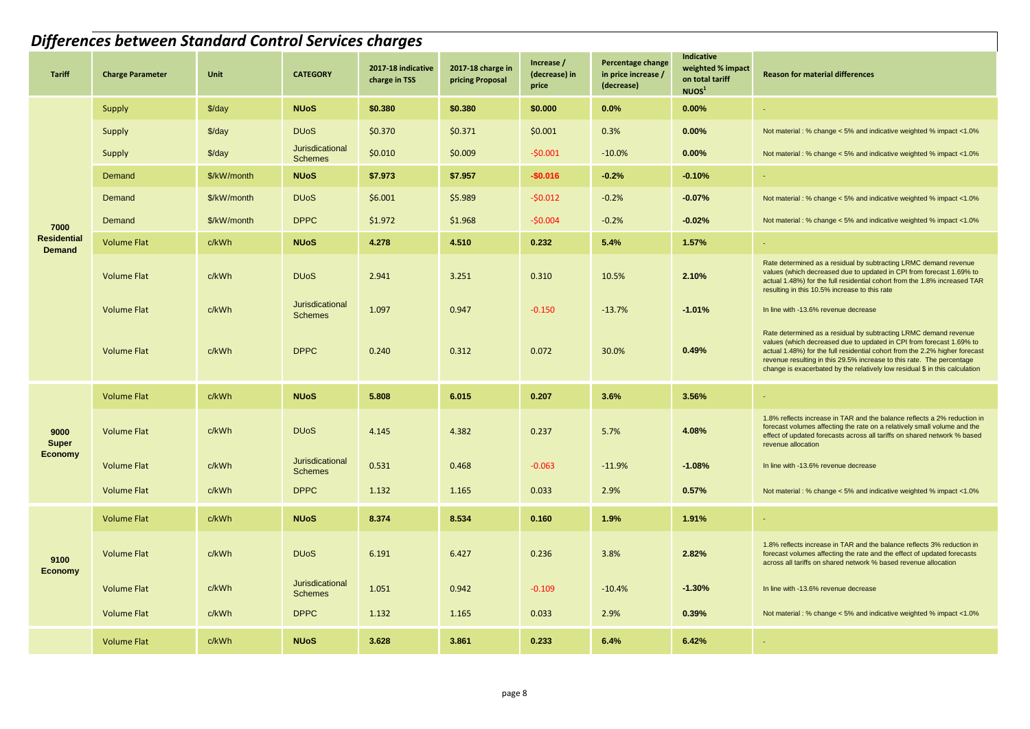|                                     | Differences between Standard Control Services charges |                    |                                   |                                     |                                       |                                      |                                                        |                                                                         |                                                                                                                                                                                                                                                                                                                                                                                 |  |  |  |
|-------------------------------------|-------------------------------------------------------|--------------------|-----------------------------------|-------------------------------------|---------------------------------------|--------------------------------------|--------------------------------------------------------|-------------------------------------------------------------------------|---------------------------------------------------------------------------------------------------------------------------------------------------------------------------------------------------------------------------------------------------------------------------------------------------------------------------------------------------------------------------------|--|--|--|
| <b>Tariff</b>                       | <b>Charge Parameter</b>                               | Unit               | <b>CATEGORY</b>                   | 2017-18 indicative<br>charge in TSS | 2017-18 charge in<br>pricing Proposal | Increase /<br>(decrease) in<br>price | Percentage change<br>in price increase /<br>(decrease) | Indicative<br>weighted % impact<br>on total tariff<br>NUOS <sup>1</sup> | <b>Reason for material differences</b>                                                                                                                                                                                                                                                                                                                                          |  |  |  |
|                                     | Supply                                                | $\frac{1}{2}$ /day | <b>NUoS</b>                       | \$0.380                             | \$0.380                               | \$0.000                              | 0.0%                                                   | 0.00%                                                                   |                                                                                                                                                                                                                                                                                                                                                                                 |  |  |  |
|                                     | Supply                                                | $\frac{3}{day}$    | <b>DU<sub>o</sub>S</b>            | \$0.370                             | \$0.371                               | \$0.001                              | 0.3%                                                   | 0.00%                                                                   | Not material : % change < 5% and indicative weighted % impact <1.0%                                                                                                                                                                                                                                                                                                             |  |  |  |
|                                     | Supply                                                | $\frac{2}{3}$ /day | Jurisdicational<br><b>Schemes</b> | \$0.010                             | \$0.009                               | $-50.001$                            | $-10.0%$                                               | 0.00%                                                                   | Not material: % change < 5% and indicative weighted % impact <1.0%                                                                                                                                                                                                                                                                                                              |  |  |  |
|                                     | Demand                                                | \$/kW/month        | <b>NUoS</b>                       | \$7.973                             | \$7.957                               | $-$0.016$                            | $-0.2%$                                                | $-0.10%$                                                                | $\omega$ .                                                                                                                                                                                                                                                                                                                                                                      |  |  |  |
|                                     | Demand                                                | \$/kW/month        | <b>DU<sub>o</sub>S</b>            | \$6.001                             | \$5.989                               | $-50.012$                            | $-0.2%$                                                | $-0.07%$                                                                | Not material: % change < 5% and indicative weighted % impact <1.0%                                                                                                                                                                                                                                                                                                              |  |  |  |
| 7000                                | Demand                                                | \$/kW/month        | <b>DPPC</b>                       | \$1.972                             | \$1.968                               | $-50.004$                            | $-0.2%$                                                | $-0.02%$                                                                | Not material : % change < 5% and indicative weighted % impact <1.0%                                                                                                                                                                                                                                                                                                             |  |  |  |
| <b>Residential</b><br><b>Demand</b> | <b>Volume Flat</b>                                    | c/kWh              | <b>NUoS</b>                       | 4.278                               | 4.510                                 | 0.232                                | 5.4%                                                   | 1.57%                                                                   | ÷.                                                                                                                                                                                                                                                                                                                                                                              |  |  |  |
|                                     | <b>Volume Flat</b>                                    | c/kWh              | <b>DU<sub>o</sub>S</b>            | 2.941                               | 3.251                                 | 0.310                                | 10.5%                                                  | 2.10%                                                                   | Rate determined as a residual by subtracting LRMC demand revenue<br>values (which decreased due to updated in CPI from forecast 1.69% to<br>actual 1.48%) for the full residential cohort from the 1.8% increased TAR<br>resulting in this 10.5% increase to this rate                                                                                                          |  |  |  |
|                                     | <b>Volume Flat</b>                                    | c/kWh              | Jurisdicational<br><b>Schemes</b> | 1.097                               | 0.947                                 | $-0.150$                             | $-13.7%$                                               | $-1.01%$                                                                | In line with -13.6% revenue decrease                                                                                                                                                                                                                                                                                                                                            |  |  |  |
|                                     | <b>Volume Flat</b>                                    | c/kWh              | <b>DPPC</b>                       | 0.240                               | 0.312                                 | 0.072                                | 30.0%                                                  | 0.49%                                                                   | Rate determined as a residual by subtracting LRMC demand revenue<br>values (which decreased due to updated in CPI from forecast 1.69% to<br>actual 1.48%) for the full residential cohort from the 2.2% higher forecast<br>revenue resulting in this 29.5% increase to this rate. The percentage<br>change is exacerbated by the relatively low residual \$ in this calculation |  |  |  |
|                                     | <b>Volume Flat</b>                                    | c/kWh              | <b>NUoS</b>                       | 5.808                               | 6.015                                 | 0.207                                | 3.6%                                                   | 3.56%                                                                   |                                                                                                                                                                                                                                                                                                                                                                                 |  |  |  |
| 9000<br><b>Super</b>                | <b>Volume Flat</b>                                    | c/kWh              | <b>DU<sub>o</sub>S</b>            | 4.145                               | 4.382                                 | 0.237                                | 5.7%                                                   | 4.08%                                                                   | 1.8% reflects increase in TAR and the balance reflects a 2% reduction in<br>forecast volumes affecting the rate on a relatively small volume and the<br>effect of updated forecasts across all tariffs on shared network % based<br>revenue allocation                                                                                                                          |  |  |  |
| <b>Economy</b>                      | <b>Volume Flat</b>                                    | c/kWh              | Jurisdicational<br><b>Schemes</b> | 0.531                               | 0.468                                 | $-0.063$                             | $-11.9%$                                               | $-1.08%$                                                                | In line with -13.6% revenue decrease                                                                                                                                                                                                                                                                                                                                            |  |  |  |
|                                     | Volume Flat                                           | c/kWh              | <b>DPPC</b>                       | 1.132                               | 1.165                                 | 0.033                                | 2.9%                                                   | 0.57%                                                                   | Not material : % change < 5% and indicative weighted % impact <1.0%                                                                                                                                                                                                                                                                                                             |  |  |  |
|                                     | <b>Volume Flat</b>                                    | c/kWh              | <b>NUoS</b>                       | 8.374                               | 8.534                                 | 0.160                                | 1.9%                                                   | 1.91%                                                                   | $\sim$                                                                                                                                                                                                                                                                                                                                                                          |  |  |  |
| 9100<br><b>Economy</b>              | <b>Volume Flat</b>                                    | c/kWh              | <b>DU<sub>o</sub>S</b>            | 6.191                               | 6.427                                 | 0.236                                | 3.8%                                                   | 2.82%                                                                   | 1.8% reflects increase in TAR and the balance reflects 3% reduction in<br>forecast volumes affecting the rate and the effect of updated forecasts<br>across all tariffs on shared network % based revenue allocation                                                                                                                                                            |  |  |  |
|                                     | <b>Volume Flat</b>                                    | c/kWh              | Jurisdicational<br><b>Schemes</b> | 1.051                               | 0.942                                 | $-0.109$                             | $-10.4%$                                               | $-1.30%$                                                                | In line with -13.6% revenue decrease                                                                                                                                                                                                                                                                                                                                            |  |  |  |
|                                     | <b>Volume Flat</b>                                    | c/kWh              | <b>DPPC</b>                       | 1.132                               | 1.165                                 | 0.033                                | 2.9%                                                   | 0.39%                                                                   | Not material : % change < 5% and indicative weighted % impact <1.0%                                                                                                                                                                                                                                                                                                             |  |  |  |
|                                     | <b>Volume Flat</b>                                    | c/kWh              | <b>NUoS</b>                       | 3.628                               | 3.861                                 | 0.233                                | 6.4%                                                   | 6.42%                                                                   | ٠                                                                                                                                                                                                                                                                                                                                                                               |  |  |  |
|                                     |                                                       |                    |                                   |                                     |                                       |                                      |                                                        |                                                                         |                                                                                                                                                                                                                                                                                                                                                                                 |  |  |  |
|                                     |                                                       |                    |                                   |                                     |                                       |                                      |                                                        |                                                                         |                                                                                                                                                                                                                                                                                                                                                                                 |  |  |  |